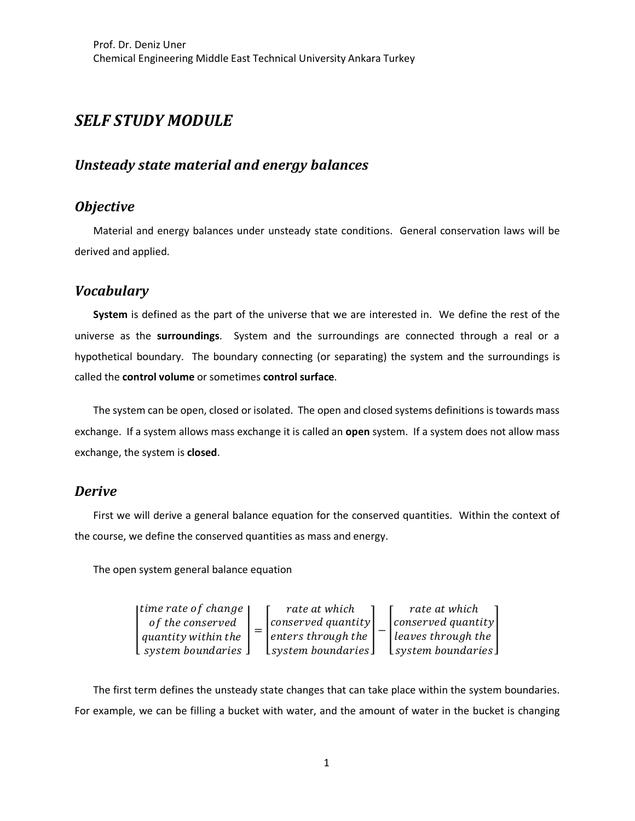# *SELF STUDY MODULE*

### *Unsteady state material and energy balances*

## *Objective*

Material and energy balances under unsteady state conditions. General conservation laws will be derived and applied.

#### *Vocabulary*

**System** is defined as the part of the universe that we are interested in. We define the rest of the universe as the **surroundings**. System and the surroundings are connected through a real or a hypothetical boundary. The boundary connecting (or separating) the system and the surroundings is called the **control volume** or sometimes **control surface**.

The system can be open, closed or isolated. The open and closed systems definitions is towards mass exchange. If a system allows mass exchange it is called an **open** system. If a system does not allow mass exchange, the system is **closed**.

#### *Derive*

First we will derive a general balance equation for the conserved quantities. Within the context of the course, we define the conserved quantities as mass and energy.

The open system general balance equation

$$
\begin{bmatrix}\ntime\ rate\ of\ change \\
of\ the\ conserved\ \ \, \end{bmatrix}\n= \begin{bmatrix}\nrate\ at\ which \\
conserved\ quantity \\
enters\ through\ the \\
system\ boundaries\n\end{bmatrix}\n- \begin{bmatrix}\nrate\ at\ which \\
conserved\ quantity \\
leaves\ through\ the \\
system\ boundaries\n\end{bmatrix}
$$

The first term defines the unsteady state changes that can take place within the system boundaries. For example, we can be filling a bucket with water, and the amount of water in the bucket is changing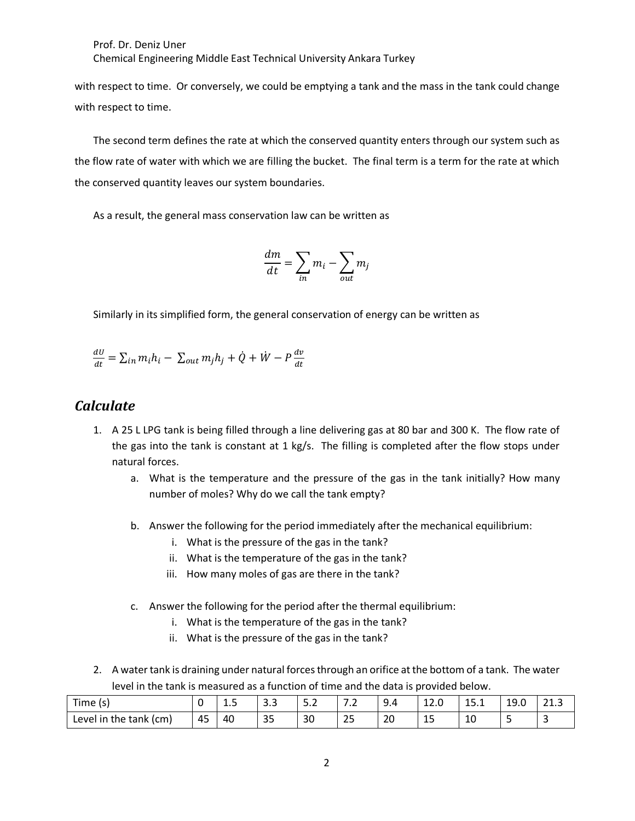Prof. Dr. Deniz Uner Chemical Engineering Middle East Technical University Ankara Turkey

with respect to time. Or conversely, we could be emptying a tank and the mass in the tank could change with respect to time.

The second term defines the rate at which the conserved quantity enters through our system such as the flow rate of water with which we are filling the bucket. The final term is a term for the rate at which the conserved quantity leaves our system boundaries.

As a result, the general mass conservation law can be written as

$$
\frac{dm}{dt} = \sum_{in} m_i - \sum_{out} m_j
$$

Similarly in its simplified form, the general conservation of energy can be written as

$$
\frac{dU}{dt} = \sum_{in} m_i h_i - \sum_{out} m_j h_j + \dot{Q} + \dot{W} - P \frac{dv}{dt}
$$

#### *Calculate*

- 1. A 25 L LPG tank is being filled through a line delivering gas at 80 bar and 300 K. The flow rate of the gas into the tank is constant at 1 kg/s. The filling is completed after the flow stops under natural forces.
	- a. What is the temperature and the pressure of the gas in the tank initially? How many number of moles? Why do we call the tank empty?
	- b. Answer the following for the period immediately after the mechanical equilibrium:
		- i. What is the pressure of the gas in the tank?
		- ii. What is the temperature of the gas in the tank?
		- iii. How many moles of gas are there in the tank?
	- c. Answer the following for the period after the thermal equilibrium:
		- i. What is the temperature of the gas in the tank?
		- ii. What is the pressure of the gas in the tank?
- 2. A water tank is draining under natural forces through an orifice at the bottom of a tank. The water level in the tank is measured as a function of time and the data is provided below.

| $- -$<br>i ime<br>$\sim$<br>ر د ،            |    | $\overline{\phantom{0}}$<br>--<br>__ | -<br>                | <u>.</u><br>$\sim$ | -<br>$\overline{\phantom{a}}$ | $\sim$<br>$\overline{ }$<br>– • ⊤ | $\overline{\phantom{a}}$<br><b>⊥∠.∪</b><br>_______ | -<br><b></b> | 10<br>£<br>19.U<br>____ | $\sim$<br><u>.</u> |
|----------------------------------------------|----|--------------------------------------|----------------------|--------------------|-------------------------------|-----------------------------------|----------------------------------------------------|--------------|-------------------------|--------------------|
| the tank<br>(c <sub>m</sub> )<br>Level<br>in | 45 | 40                                   | $\sim$ $\sim$<br>ت ب | 30                 | $\sim$ $\sim$<br>ت ک          | 20                                | --                                                 | 10           |                         |                    |